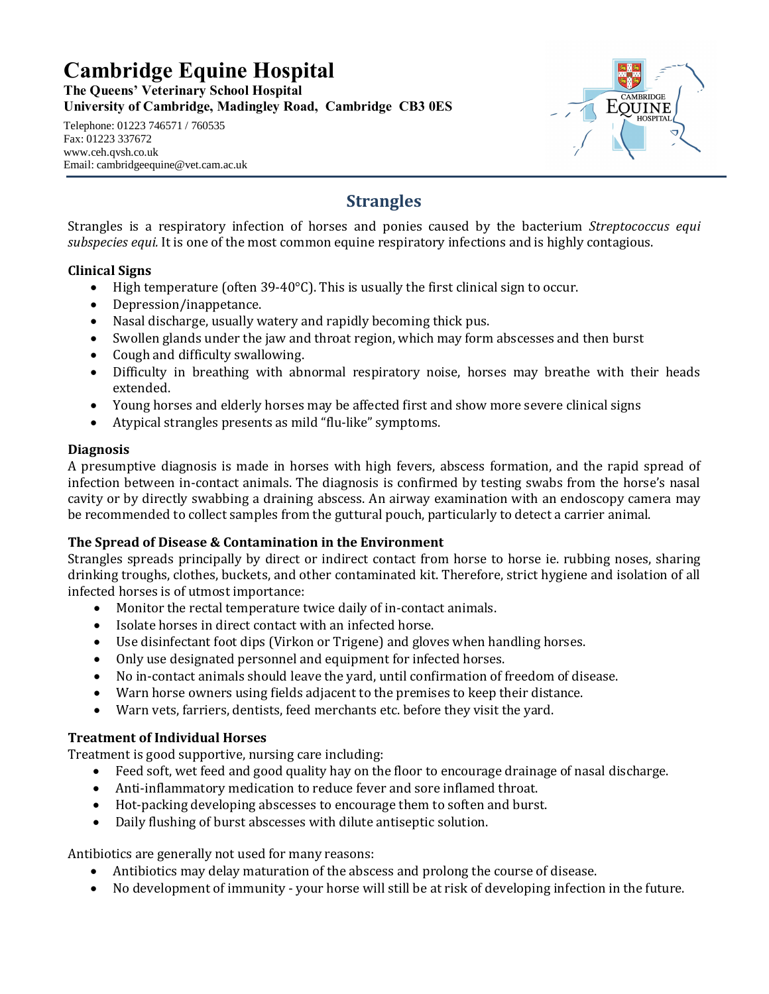# **Cambridge Equine Hospital**

**The Queens' Veterinary School Hospital University of Cambridge, Madingley Road, Cambridge CB3 0ES**

#### Telephone: 01223 746571 / 760535 Fax: 01223 337672 www.ceh.qvsh.co.uk Email: cambridgeequine@vet.cam.ac.uk



## **Strangles**

Strangles is a respiratory infection of horses and ponies caused by the bacterium *Streptococcus equi subspecies equi.* It is one of the most common equine respiratory infections and is highly contagious.

#### **Clinical Signs**

- High temperature (often 39-40 $^{\circ}$ C). This is usually the first clinical sign to occur.
- · Depression/inappetance.
- · Nasal discharge, usually watery and rapidly becoming thick pus.
- · Swollen glands under the jaw and throat region, which may form abscesses and then burst
- · Cough and difficulty swallowing.
- · Difficulty in breathing with abnormal respiratory noise, horses may breathe with their heads extended.
- · Young horses and elderly horses may be affected first and show more severe clinical signs
- Atypical strangles presents as mild "flu-like" symptoms.

#### **Diagnosis**

A presumptive diagnosis is made in horses with high fevers, abscess formation, and the rapid spread of infection between in-contact animals. The diagnosis is confirmed by testing swabs from the horse's nasal cavity or by directly swabbing a draining abscess. An airway examination with an endoscopy camera may be recommended to collect samples from the guttural pouch, particularly to detect a carrier animal.

### **The Spread of Disease & Contamination in the Environment**

Strangles spreads principally by direct or indirect contact from horse to horse ie. rubbing noses, sharing drinking troughs, clothes, buckets, and other contaminated kit. Therefore, strict hygiene and isolation of all infected horses is of utmost importance:

- · Monitor the rectal temperature twice daily of in-contact animals.
- · Isolate horses in direct contact with an infected horse.
- · Use disinfectant foot dips (Virkon or Trigene) and gloves when handling horses.
- · Only use designated personnel and equipment for infected horses.
- · No in-contact animals should leave the yard, until confirmation of freedom of disease.
- · Warn horse owners using fields adjacent to the premises to keep their distance.
- · Warn vets, farriers, dentists, feed merchants etc. before they visit the yard.

#### **Treatment of Individual Horses**

Treatment is good supportive, nursing care including:

- · Feed soft, wet feed and good quality hay on the floor to encourage drainage of nasal discharge.
- · Anti-inflammatory medication to reduce fever and sore inflamed throat.
- · Hot-packing developing abscesses to encourage them to soften and burst.
- Daily flushing of burst abscesses with dilute antiseptic solution.

Antibiotics are generally not used for many reasons:

- · Antibiotics may delay maturation of the abscess and prolong the course of disease.
- · No development of immunity your horse will still be at risk of developing infection in the future.